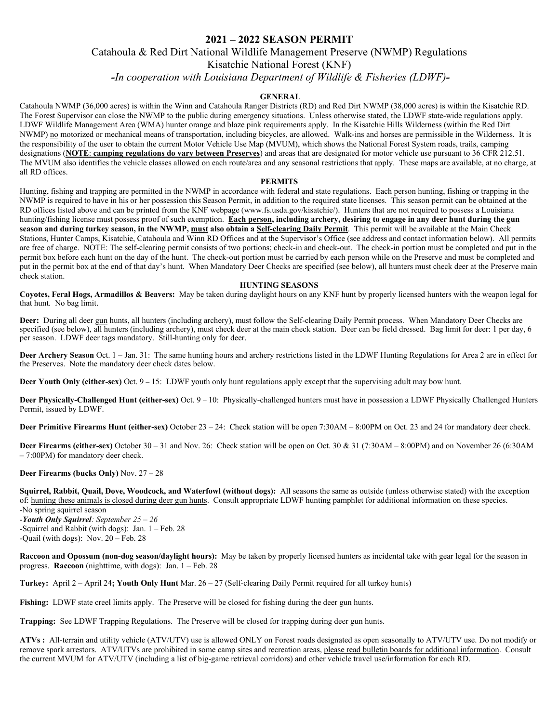# **2021 – 2022 SEASON PERMIT**

## Catahoula & Red Dirt National Wildlife Management Preserve (NWMP) Regulations

Kisatchie National Forest (KNF)

*-In cooperation with Louisiana Department of Wildlife & Fisheries (LDWF)-*

### **GENERAL**

Catahoula NWMP (36,000 acres) is within the Winn and Catahoula Ranger Districts (RD) and Red Dirt NWMP (38,000 acres) is within the Kisatchie RD. The Forest Supervisor can close the NWMP to the public during emergency situations. Unless otherwise stated, the LDWF state-wide regulations apply. LDWF Wildlife Management Area (WMA) hunter orange and blaze pink requirements apply. In the Kisatchie Hills Wilderness (within the Red Dirt NWMP) no motorized or mechanical means of transportation, including bicycles, are allowed. Walk-ins and horses are permissible in the Wilderness. It is the responsibility of the user to obtain the current Motor Vehicle Use Map (MVUM), which shows the National Forest System roads, trails, camping designations (**NOTE**: **camping regulations do vary between Preserves**) and areas that are designated for motor vehicle use pursuant to 36 CFR 212.51. The MVUM also identifies the vehicle classes allowed on each route/area and any seasonal restrictions that apply. These maps are available, at no charge, at all RD offices.

#### **PERMITS**

Hunting, fishing and trapping are permitted in the NWMP in accordance with federal and state regulations. Each person hunting, fishing or trapping in the NWMP is required to have in his or her possession this Season Permit, in addition to the required state licenses. This season permit can be obtained at the RD offices listed above and can be printed from the KNF webpage (www.fs.usda.gov/kisatchie/). Hunters that are not required to possess a Louisiana hunting/fishing license must possess proof of such exemption. **Each person, including archery, desiring to engage in any deer hunt during the gun season and during turkey season, in the NWMP, must also obtain a Self-clearing Daily Permit**. This permit will be available at the Main Check Stations, Hunter Camps, Kisatchie, Catahoula and Winn RD Offices and at the Supervisor's Office (see address and contact information below). All permits are free of charge. NOTE: The self-clearing permit consists of two portions; check-in and check-out. The check-in portion must be completed and put in the permit box before each hunt on the day of the hunt. The check-out portion must be carried by each person while on the Preserve and must be completed and put in the permit box at the end of that day's hunt. When Mandatory Deer Checks are specified (see below), all hunters must check deer at the Preserve main check station.

#### **HUNTING SEASONS**

**Coyotes, Feral Hogs, Armadillos & Beavers:** May be taken during daylight hours on any KNF hunt by properly licensed hunters with the weapon legal for that hunt. No bag limit.

**Deer:** During all deer gun hunts, all hunters (including archery), must follow the Self-clearing Daily Permit process. When Mandatory Deer Checks are specified (see below), all hunters (including archery), must check deer at the main check station. Deer can be field dressed. Bag limit for deer: 1 per day, 6 per season. LDWF deer tags mandatory. Still-hunting only for deer.

**Deer Archery Season** Oct. 1 – Jan. 31: The same hunting hours and archery restrictions listed in the LDWF Hunting Regulations for Area 2 are in effect for the Preserves. Note the mandatory deer check dates below.

**Deer Youth Only (either-sex)** Oct. 9 – 15: LDWF youth only hunt regulations apply except that the supervising adult may bow hunt.

**Deer Physically-Challenged Hunt (either-sex)** Oct. 9 – 10:Physically-challenged hunters must have in possession a LDWF Physically Challenged Hunters Permit, issued by LDWF.

**Deer Primitive Firearms Hunt (either-sex)** October 23 – 24:Check station will be open 7:30AM – 8:00PM on Oct. 23 and 24 for mandatory deer check.

**Deer Firearms (either-sex)** October 30 – 31 and Nov. 26: Check station will be open on Oct. 30 & 31 (7:30AM – 8:00PM) and on November 26 (6:30AM – 7:00PM) for mandatory deer check.

#### **Deer Firearms (bucks Only)** Nov. 27 – 28

**Squirrel, Rabbit, Quail, Dove, Woodcock, and Waterfowl (without dogs):** All seasons the same as outside (unless otherwise stated) with the exception of: hunting these animals is closed during deer gun hunts. Consult appropriate LDWF hunting pamphlet for additional information on these species.

-No spring squirrel season

*-Youth Only Squirrel: September 25 – 26* -Squirrel and Rabbit (with dogs): Jan. 1 – Feb. 28 -Quail (with dogs): Nov. 20 – Feb. 28

**Raccoon and Opossum (non-dog season/daylight hours):** May be taken by properly licensed hunters as incidental take with gear legal for the season in progress. **Raccoon** (nighttime, with dogs): Jan. 1 – Feb. 28

**Turkey:** April 2 – April 24**; Youth Only Hunt** Mar. 26 – 27 (Self-clearing Daily Permit required for all turkey hunts)

Fishing: LDWF state creel limits apply. The Preserve will be closed for fishing during the deer gun hunts.

**Trapping:** See LDWF Trapping Regulations. The Preserve will be closed for trapping during deer gun hunts.

**ATVs :** All-terrain and utility vehicle (ATV/UTV) use is allowed ONLY on Forest roads designated as open seasonally to ATV/UTV use. Do not modify or remove spark arrestors. ATV/UTVs are prohibited in some camp sites and recreation areas, please read bulletin boards for additional information. Consult the current MVUM for ATV/UTV (including a list of big-game retrieval corridors) and other vehicle travel use/information for each RD.